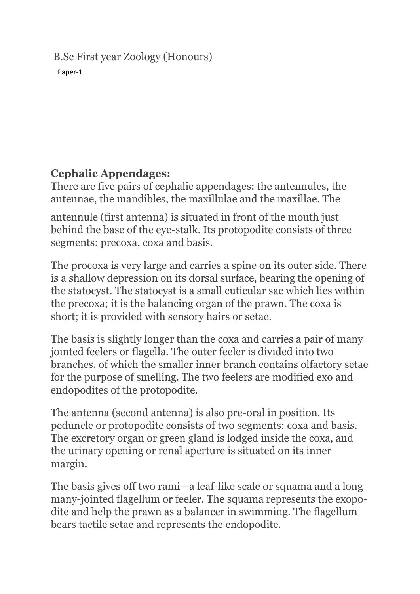### B.Sc First year Zoology (Honours)

Paper-1

# **Cephalic Appendages:**

There are five pairs of cephalic appendages: the antennules, the antennae, the mandibles, the maxillulae and the maxillae. The

antennule (first antenna) is situated in front of the mouth just behind the base of the eye-stalk. Its protopodite consists of three segments: precoxa, coxa and basis.

The procoxa is very large and carries a spine on its outer side. There is a shallow depression on its dorsal surface, bearing the opening of the statocyst. The statocyst is a small cuticular sac which lies within the precoxa; it is the balancing organ of the prawn. The coxa is short; it is provided with sensory hairs or setae.

The basis is slightly longer than the coxa and carries a pair of many jointed feelers or flagella. The outer feeler is divided into two branches, of which the smaller inner branch contains olfactory setae for the purpose of smelling. The two feelers are modified exo and endopodites of the protopodite.

The antenna (second antenna) is also pre-oral in position. Its peduncle or protopodite consists of two segments: coxa and basis. The excretory organ or green gland is lodged inside the coxa, and the urinary opening or renal aperture is situated on its inner margin.

The basis gives off two rami—a leaf-like scale or squama and a long many-jointed flagellum or feeler. The squama represents the exopodite and help the prawn as a balancer in swimming. The flagellum bears tactile setae and represents the endopodite.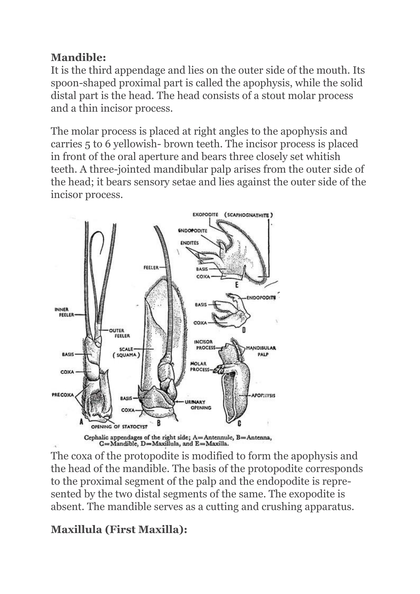## **Mandible:**

It is the third appendage and lies on the outer side of the mouth. Its spoon-shaped proximal part is called the apophysis, while the solid distal part is the head. The head consists of a stout molar process and a thin incisor process.

The molar process is placed at right angles to the apophysis and carries 5 to 6 yellowish- brown teeth. The incisor process is placed in front of the oral aperture and bears three closely set whitish teeth. A three-jointed mandibular palp arises from the outer side of the head; it bears sensory setae and lies against the outer side of the incisor process.



The coxa of the protopodite is modified to form the apophysis and the head of the mandible. The basis of the protopodite corresponds to the proximal segment of the palp and the endopodite is represented by the two distal segments of the same. The exopodite is absent. The mandible serves as a cutting and crushing apparatus.

# **Maxillula (First Maxilla):**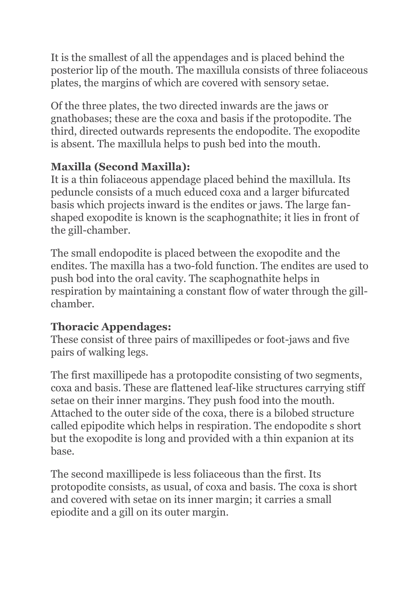It is the smallest of all the appendages and is placed behind the posterior lip of the mouth. The maxillula consists of three foliaceous plates, the margins of which are covered with sensory setae.

Of the three plates, the two directed inwards are the jaws or gnathobases; these are the coxa and basis if the protopodite. The third, directed outwards represents the endopodite. The exopodite is absent. The maxillula helps to push bed into the mouth.

## **Maxilla (Second Maxilla):**

It is a thin foliaceous appendage placed behind the maxillula. Its peduncle consists of a much educed coxa and a larger bifurcated basis which projects inward is the endites or jaws. The large fanshaped exopodite is known is the scaphognathite; it lies in front of the gill-chamber.

The small endopodite is placed between the exopodite and the endites. The maxilla has a two-fold function. The endites are used to push bod into the oral cavity. The scaphognathite helps in respiration by maintaining a constant flow of water through the gillchamber.

## **Thoracic Appendages:**

These consist of three pairs of maxillipedes or foot-jaws and five pairs of walking legs.

The first maxillipede has a protopodite consisting of two segments, coxa and basis. These are flattened leaf-like structures carrying stiff setae on their inner margins. They push food into the mouth. Attached to the outer side of the coxa, there is a bilobed structure called epipodite which helps in respiration. The endopodite s short but the exopodite is long and provided with a thin expanion at its base.

The second maxillipede is less foliaceous than the first. Its protopodite consists, as usual, of coxa and basis. The coxa is short and covered with setae on its inner margin; it carries a small epiodite and a gill on its outer margin.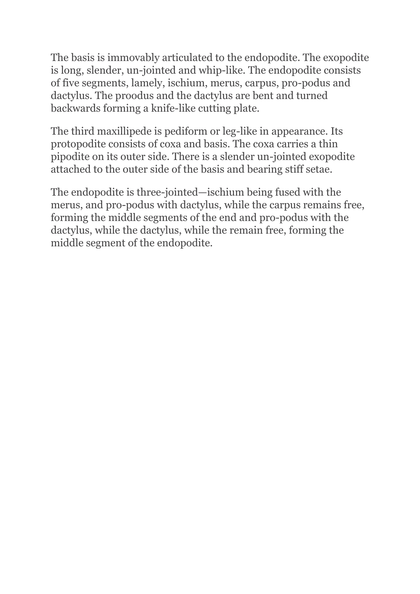The basis is immovably articulated to the endopodite. The exopodite is long, slender, un-jointed and whip-like. The endopodite consists of five segments, lamely, ischium, merus, carpus, pro-podus and dactylus. The proodus and the dactylus are bent and turned backwards forming a knife-like cutting plate.

The third maxillipede is pediform or leg-like in appearance. Its protopodite consists of coxa and basis. The coxa carries a thin pipodite on its outer side. There is a slender un-jointed exopodite attached to the outer side of the basis and bearing stiff setae.

The endopodite is three-jointed—ischium being fused with the merus, and pro-podus with dactylus, while the carpus remains free, forming the middle segments of the end and pro-podus with the dactylus, while the dactylus, while the remain free, forming the middle segment of the endopodite.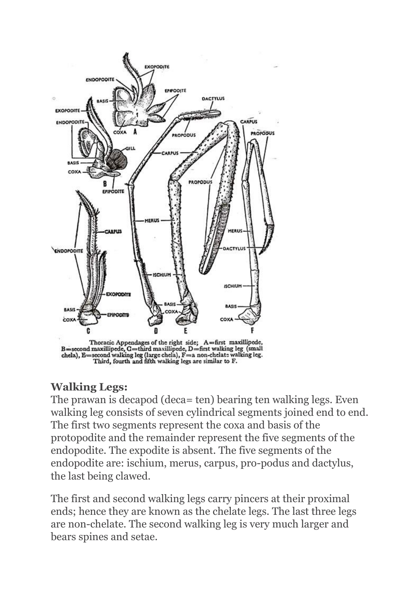

Thoracic Appendages of the right side; A=first maxillipede, B=second maxillipede, G=third maxillipede, D=first walking leg (small chela), E=second walking leg (large chela), F=a non-chelate walking leg.<br>Third, fourth and

### **Walking Legs:**

The prawan is decapod (deca= ten) bearing ten walking legs. Even walking leg consists of seven cylindrical segments joined end to end. The first two segments represent the coxa and basis of the protopodite and the remainder represent the five segments of the endopodite. The expodite is absent. The five segments of the endopodite are: ischium, merus, carpus, pro-podus and dactylus, the last being clawed.

The first and second walking legs carry pincers at their proximal ends; hence they are known as the chelate legs. The last three legs are non-chelate. The second walking leg is very much larger and bears spines and setae.